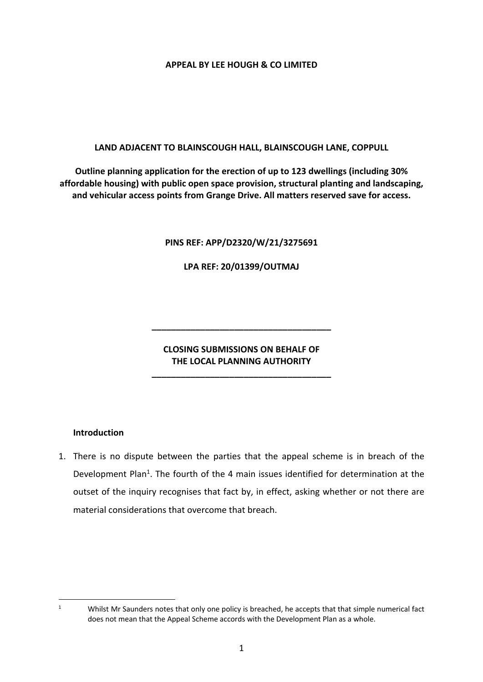### **APPEAL BY LEE HOUGH & CO LIMITED**

### **LAND ADJACENT TO BLAINSCOUGH HALL, BLAINSCOUGH LANE, COPPULL**

**Outline planning application for the erection of up to 123 dwellings (including 30% affordable housing) with public open space provision, structural planting and landscaping, and vehicular access points from Grange Drive. All matters reserved save for access.**

### **PINS REF: APP/D2320/W/21/3275691**

**LPA REF: 20/01399/OUTMAJ**

# **CLOSING SUBMISSIONS ON BEHALF OF THE LOCAL PLANNING AUTHORITY**

**\_\_\_\_\_\_\_\_\_\_\_\_\_\_\_\_\_\_\_\_\_\_\_\_\_\_\_\_\_\_\_\_\_\_\_\_\_**

**\_\_\_\_\_\_\_\_\_\_\_\_\_\_\_\_\_\_\_\_\_\_\_\_\_\_\_\_\_\_\_\_\_\_\_\_\_**

# **Introduction**

1. There is no dispute between the parties that the appeal scheme is in breach of the Development Plan<sup>1</sup>. The fourth of the 4 main issues identified for determination at the outset of the inquiry recognises that fact by, in effect, asking whether or not there are material considerations that overcome that breach.

<sup>&</sup>lt;sup>1</sup> Whilst Mr Saunders notes that only one policy is breached, he accepts that that simple numerical fact does not mean that the Appeal Scheme accords with the Development Plan as a whole.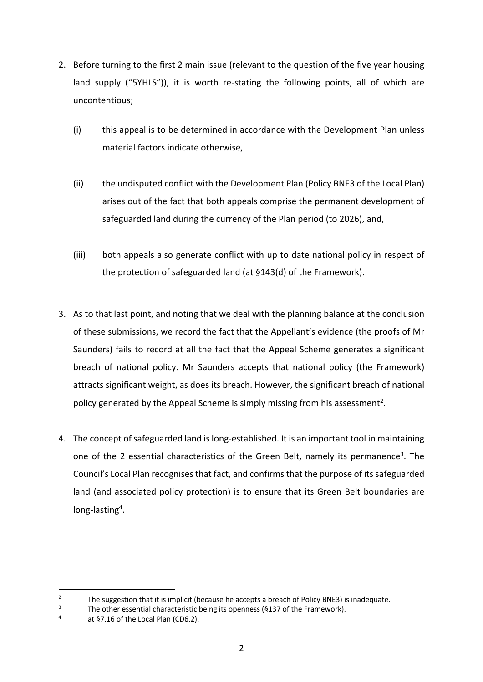- 2. Before turning to the first 2 main issue (relevant to the question of the five year housing land supply ("5YHLS")), it is worth re-stating the following points, all of which are uncontentious;
	- (i) this appeal is to be determined in accordance with the Development Plan unless material factors indicate otherwise,
	- (ii) the undisputed conflict with the Development Plan (Policy BNE3 of the Local Plan) arises out of the fact that both appeals comprise the permanent development of safeguarded land during the currency of the Plan period (to 2026), and,
	- (iii) both appeals also generate conflict with up to date national policy in respect of the protection of safeguarded land (at §143(d) of the Framework).
- 3. As to that last point, and noting that we deal with the planning balance at the conclusion of these submissions, we record the fact that the Appellant's evidence (the proofs of Mr Saunders) fails to record at all the fact that the Appeal Scheme generates a significant breach of national policy. Mr Saunders accepts that national policy (the Framework) attracts significant weight, as does its breach. However, the significant breach of national policy generated by the Appeal Scheme is simply missing from his assessment<sup>2</sup>.
- 4. The concept of safeguarded land is long-established. It is an important tool in maintaining one of the 2 essential characteristics of the Green Belt, namely its permanence<sup>3</sup>. The Council's Local Plan recognises that fact, and confirms that the purpose of its safeguarded land (and associated policy protection) is to ensure that its Green Belt boundaries are long-lasting<sup>4</sup>.

<sup>&</sup>lt;sup>2</sup> The suggestion that it is implicit (because he accepts a breach of Policy BNE3) is inadequate.<br><sup>3</sup> The other essential characteristic heing its openness (6137 of the Framework)

<sup>&</sup>lt;sup>3</sup> The other essential characteristic being its openness (§137 of the Framework).

at §7.16 of the Local Plan (CD6.2).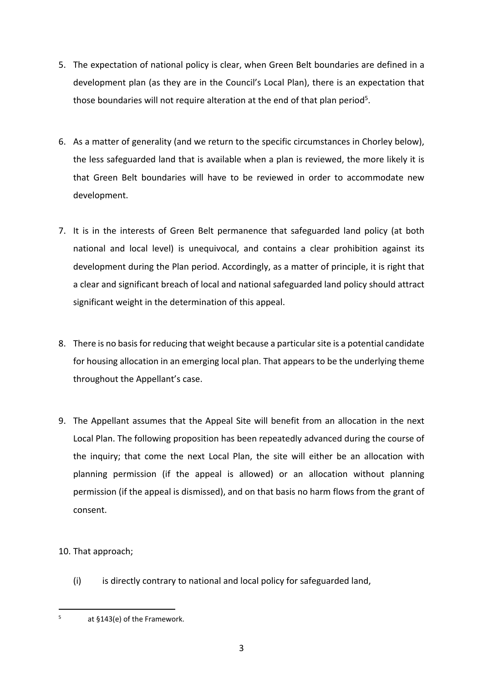- 5. The expectation of national policy is clear, when Green Belt boundaries are defined in a development plan (as they are in the Council's Local Plan), there is an expectation that those boundaries will not require alteration at the end of that plan period<sup>5</sup>.
- 6. As a matter of generality (and we return to the specific circumstances in Chorley below), the less safeguarded land that is available when a plan is reviewed, the more likely it is that Green Belt boundaries will have to be reviewed in order to accommodate new development.
- 7. It is in the interests of Green Belt permanence that safeguarded land policy (at both national and local level) is unequivocal, and contains a clear prohibition against its development during the Plan period. Accordingly, as a matter of principle, it is right that a clear and significant breach of local and national safeguarded land policy should attract significant weight in the determination of this appeal.
- 8. There is no basis for reducing that weight because a particular site is a potential candidate for housing allocation in an emerging local plan. That appears to be the underlying theme throughout the Appellant's case.
- 9. The Appellant assumes that the Appeal Site will benefit from an allocation in the next Local Plan. The following proposition has been repeatedly advanced during the course of the inquiry; that come the next Local Plan, the site will either be an allocation with planning permission (if the appeal is allowed) or an allocation without planning permission (if the appeal is dismissed), and on that basis no harm flows from the grant of consent.
- 10. That approach;
	- (i) is directly contrary to national and local policy for safeguarded land,

 $5$  at §143(e) of the Framework.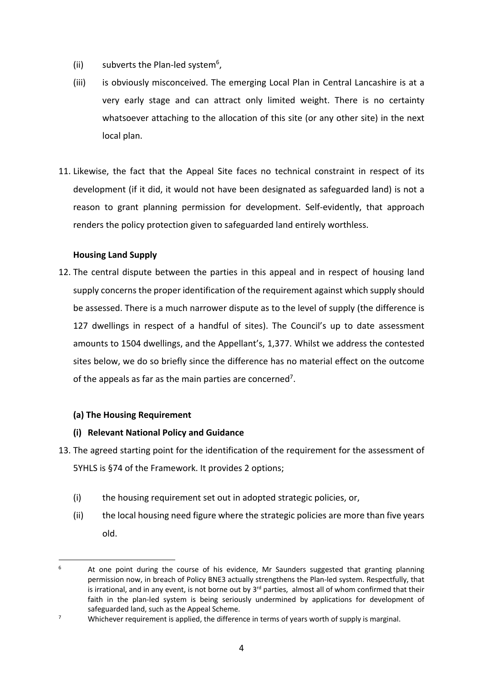- (ii) subverts the Plan-led system<sup>6</sup>,
- (iii) is obviously misconceived. The emerging Local Plan in Central Lancashire is at a very early stage and can attract only limited weight. There is no certainty whatsoever attaching to the allocation of this site (or any other site) in the next local plan.
- 11. Likewise, the fact that the Appeal Site faces no technical constraint in respect of its development (if it did, it would not have been designated as safeguarded land) is not a reason to grant planning permission for development. Self-evidently, that approach renders the policy protection given to safeguarded land entirely worthless.

# **Housing Land Supply**

12. The central dispute between the parties in this appeal and in respect of housing land supply concerns the proper identification of the requirement against which supply should be assessed. There is a much narrower dispute as to the level of supply (the difference is 127 dwellings in respect of a handful of sites). The Council's up to date assessment amounts to 1504 dwellings, and the Appellant's, 1,377. Whilst we address the contested sites below, we do so briefly since the difference has no material effect on the outcome of the appeals as far as the main parties are concerned<sup>7</sup>.

# **(a) The Housing Requirement**

# **(i) Relevant National Policy and Guidance**

- 13. The agreed starting point for the identification of the requirement for the assessment of 5YHLS is §74 of the Framework. It provides 2 options;
	- (i) the housing requirement set out in adopted strategic policies, or,
	- (ii) the local housing need figure where the strategic policies are more than five years old.

<sup>&</sup>lt;sup>6</sup> At one point during the course of his evidence, Mr Saunders suggested that granting planning permission now, in breach of Policy BNE3 actually strengthens the Plan-led system. Respectfully, that is irrational, and in any event, is not borne out by 3<sup>rd</sup> parties, almost all of whom confirmed that their faith in the plan-led system is being seriously undermined by applications for development of safeguarded land, such as the Appeal Scheme.

 $7 \text{ Whichever requirement is applied, the difference in terms of years worth of supply is marginal.}$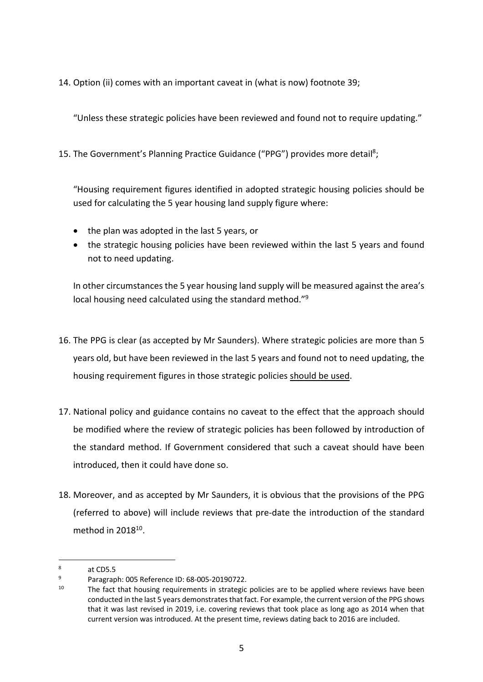14. Option (ii) comes with an important caveat in (what is now) footnote 39;

"Unless these strategic policies have been reviewed and found not to require updating."

15. The Government's Planning Practice Guidance ("PPG") provides more detail<sup>8</sup>;

"Housing requirement figures identified in adopted strategic housing policies should be used for calculating the 5 year housing land supply figure where:

- the plan was adopted in the last 5 years, or
- the strategic housing policies have been reviewed within the last 5 years and found not to need updating.

In other circumstances the 5 year housing land supply will be measured against the area's local housing need calculated using the standard method."9

- 16. The PPG is clear (as accepted by Mr Saunders). Where strategic policies are more than 5 years old, but have been reviewed in the last 5 years and found not to need updating, the housing requirement figures in those strategic policies should be used.
- 17. National policy and guidance contains no caveat to the effect that the approach should be modified where the review of strategic policies has been followed by introduction of the standard method. If Government considered that such a caveat should have been introduced, then it could have done so.
- 18. Moreover, and as accepted by Mr Saunders, it is obvious that the provisions of the PPG (referred to above) will include reviews that pre-date the introduction of the standard method in 201810.

<sup>8</sup> at CD5.5

<sup>&</sup>lt;sup>9</sup> Paragraph: 005 Reference ID: 68-005-20190722.<br><sup>10</sup> The fast that bousing requirements in strategie

The fact that housing requirements in strategic policies are to be applied where reviews have been conducted in the last 5 years demonstrates that fact. For example, the current version of the PPG shows that it was last revised in 2019, i.e. covering reviews that took place as long ago as 2014 when that current version was introduced. At the present time, reviews dating back to 2016 are included.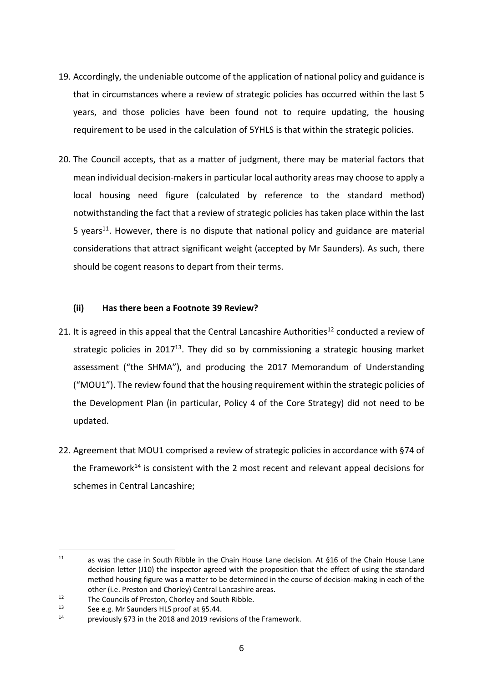- 19. Accordingly, the undeniable outcome of the application of national policy and guidance is that in circumstances where a review of strategic policies has occurred within the last 5 years, and those policies have been found not to require updating, the housing requirement to be used in the calculation of 5YHLS is that within the strategic policies.
- 20. The Council accepts, that as a matter of judgment, there may be material factors that mean individual decision-makers in particular local authority areas may choose to apply a local housing need figure (calculated by reference to the standard method) notwithstanding the fact that a review of strategic policies has taken place within the last 5 years<sup>11</sup>. However, there is no dispute that national policy and guidance are material considerations that attract significant weight (accepted by Mr Saunders). As such, there should be cogent reasons to depart from their terms.

### **(ii) Has there been a Footnote 39 Review?**

- 21. It is agreed in this appeal that the Central Lancashire Authorities<sup>12</sup> conducted a review of strategic policies in 2017<sup>13</sup>. They did so by commissioning a strategic housing market assessment ("the SHMA"), and producing the 2017 Memorandum of Understanding ("MOU1"). The review found that the housing requirement within the strategic policies of the Development Plan (in particular, Policy 4 of the Core Strategy) did not need to be updated.
- 22. Agreement that MOU1 comprised a review of strategic policies in accordance with §74 of the Framework<sup>14</sup> is consistent with the 2 most recent and relevant appeal decisions for schemes in Central Lancashire;

<sup>11</sup> as was the case in South Ribble in the Chain House Lane decision. At §16 of the Chain House Lane decision letter (J10) the inspector agreed with the proposition that the effect of using the standard method housing figure was a matter to be determined in the course of decision-making in each of the other (i.e. Preston and Chorley) Central Lancashire areas.

<sup>&</sup>lt;sup>12</sup> The Councils of Preston, Chorley and South Ribble.<br><sup>13</sup> See e.g. Mr Saunders HIS proof at 55.44

<sup>&</sup>lt;sup>13</sup> See e.g. Mr Saunders HLS proof at §5.44.<br><sup>14</sup> Septimum 14 ST3 in the 2018 and 2010 routing

previously §73 in the 2018 and 2019 revisions of the Framework.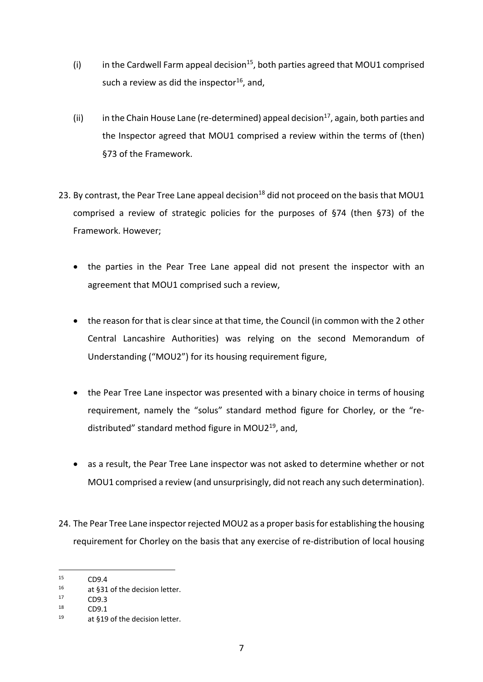- (i) in the Cardwell Farm appeal decision<sup>15</sup>, both parties agreed that MOU1 comprised such a review as did the inspector<sup>16</sup>, and,
- (ii) in the Chain House Lane (re-determined) appeal decision<sup>17</sup>, again, both parties and the Inspector agreed that MOU1 comprised a review within the terms of (then) §73 of the Framework.
- 23. By contrast, the Pear Tree Lane appeal decision<sup>18</sup> did not proceed on the basis that MOU1 comprised a review of strategic policies for the purposes of §74 (then §73) of the Framework. However;
	- the parties in the Pear Tree Lane appeal did not present the inspector with an agreement that MOU1 comprised such a review,
	- the reason for that is clear since at that time, the Council (in common with the 2 other Central Lancashire Authorities) was relying on the second Memorandum of Understanding ("MOU2") for its housing requirement figure,
	- the Pear Tree Lane inspector was presented with a binary choice in terms of housing requirement, namely the "solus" standard method figure for Chorley, or the "redistributed" standard method figure in MOU219, and,
	- as a result, the Pear Tree Lane inspector was not asked to determine whether or not MOU1 comprised a review (and unsurprisingly, did not reach any such determination).
- 24. The Pear Tree Lane inspector rejected MOU2 as a proper basis for establishing the housing requirement for Chorley on the basis that any exercise of re-distribution of local housing

 $15$  CD9.4

<sup>&</sup>lt;sup>16</sup> at §31 of the decision letter.<br><sup>17</sup> CDQ 3

 $17$  CD9.3

 $CD9.1$ 

<sup>19</sup> at §19 of the decision letter.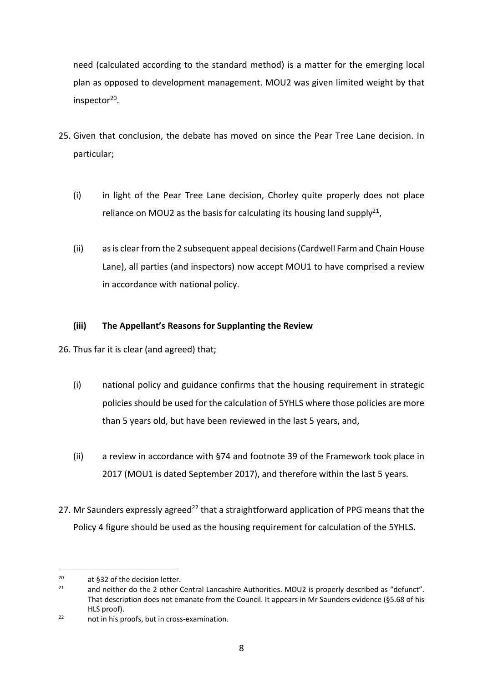need (calculated according to the standard method) is a matter for the emerging local plan as opposed to development management. MOU2 was given limited weight by that inspector<sup>20</sup>.

- 25. Given that conclusion, the debate has moved on since the Pear Tree Lane decision. In particular;
	- (i) in light of the Pear Tree Lane decision, Chorley quite properly does not place reliance on MOU2 as the basis for calculating its housing land supply<sup>21</sup>,
	- (ii) as is clear from the 2 subsequent appeal decisions (Cardwell Farm and Chain House Lane), all parties (and inspectors) now accept MOU1 to have comprised a review in accordance with national policy.

# **(iii) The Appellant's Reasons for Supplanting the Review**

26. Thus far it is clear (and agreed) that;

- (i) national policy and guidance confirms that the housing requirement in strategic policies should be used for the calculation of 5YHLS where those policies are more than 5 years old, but have been reviewed in the last 5 years, and,
- (ii) a review in accordance with §74 and footnote 39 of the Framework took place in 2017 (MOU1 is dated September 2017), and therefore within the last 5 years.
- 27. Mr Saunders expressly agreed<sup>22</sup> that a straightforward application of PPG means that the Policy 4 figure should be used as the housing requirement for calculation of the 5YHLS.

<sup>&</sup>lt;sup>20</sup> at §32 of the decision letter.

and neither do the 2 other Central Lancashire Authorities. MOU2 is properly described as "defunct". That description does not emanate from the Council. It appears in Mr Saunders evidence (§5.68 of his HLS proof).

<sup>22</sup> not in his proofs, but in cross-examination.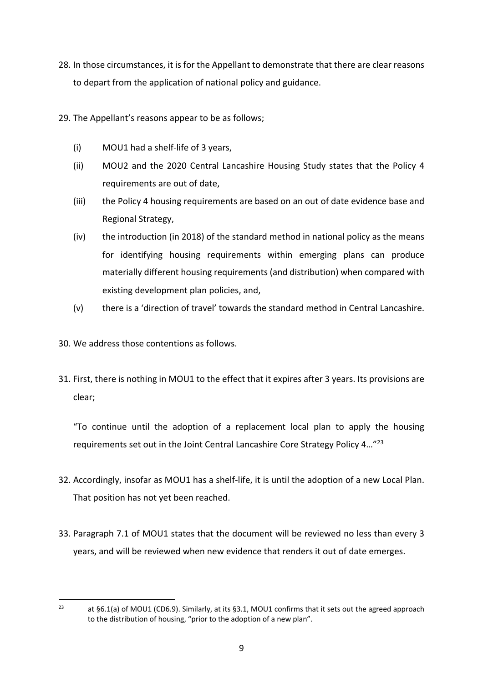- 28. In those circumstances, it is for the Appellant to demonstrate that there are clear reasons to depart from the application of national policy and guidance.
- 29. The Appellant's reasons appear to be as follows;
	- (i) MOU1 had a shelf-life of 3 years,
	- (ii) MOU2 and the 2020 Central Lancashire Housing Study states that the Policy 4 requirements are out of date,
	- (iii) the Policy 4 housing requirements are based on an out of date evidence base and Regional Strategy,
	- (iv) the introduction (in 2018) of the standard method in national policy as the means for identifying housing requirements within emerging plans can produce materially different housing requirements (and distribution) when compared with existing development plan policies, and,
	- (v) there is a 'direction of travel' towards the standard method in Central Lancashire.
- 30. We address those contentions as follows.
- 31. First, there is nothing in MOU1 to the effect that it expires after 3 years. Its provisions are clear;

"To continue until the adoption of a replacement local plan to apply the housing requirements set out in the Joint Central Lancashire Core Strategy Policy 4…"23

- 32. Accordingly, insofar as MOU1 has a shelf-life, it is until the adoption of a new Local Plan. That position has not yet been reached.
- 33. Paragraph 7.1 of MOU1 states that the document will be reviewed no less than every 3 years, and will be reviewed when new evidence that renders it out of date emerges.

<sup>&</sup>lt;sup>23</sup> at §6.1(a) of MOU1 (CD6.9). Similarly, at its §3.1, MOU1 confirms that it sets out the agreed approach to the distribution of housing, "prior to the adoption of a new plan".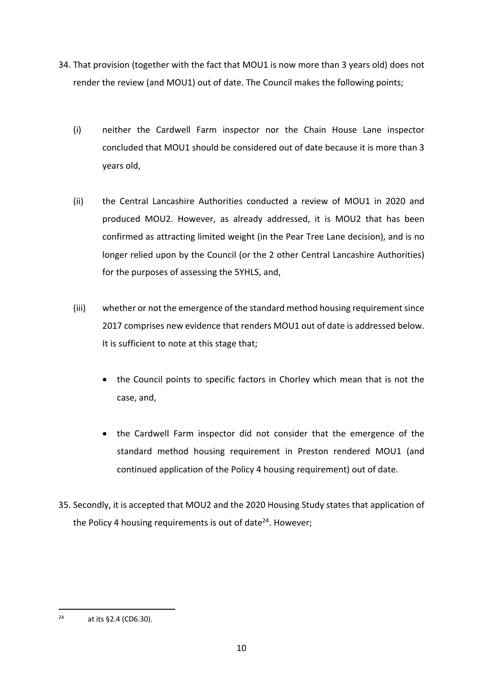- 34. That provision (together with the fact that MOU1 is now more than 3 years old) does not render the review (and MOU1) out of date. The Council makes the following points;
	- (i) neither the Cardwell Farm inspector nor the Chain House Lane inspector concluded that MOU1 should be considered out of date because it is more than 3 years old,
	- (ii) the Central Lancashire Authorities conducted a review of MOU1 in 2020 and produced MOU2. However, as already addressed, it is MOU2 that has been confirmed as attracting limited weight (in the Pear Tree Lane decision), and is no longer relied upon by the Council (or the 2 other Central Lancashire Authorities) for the purposes of assessing the 5YHLS, and,
	- (iii) whether or not the emergence of the standard method housing requirement since 2017 comprises new evidence that renders MOU1 out of date is addressed below. It is sufficient to note at this stage that;
		- the Council points to specific factors in Chorley which mean that is not the case, and,
		- the Cardwell Farm inspector did not consider that the emergence of the standard method housing requirement in Preston rendered MOU1 (and continued application of the Policy 4 housing requirement) out of date.
- 35. Secondly, it is accepted that MOU2 and the 2020 Housing Study states that application of the Policy 4 housing requirements is out of date<sup>24</sup>. However;

 $24$  at its §2.4 (CD6.30).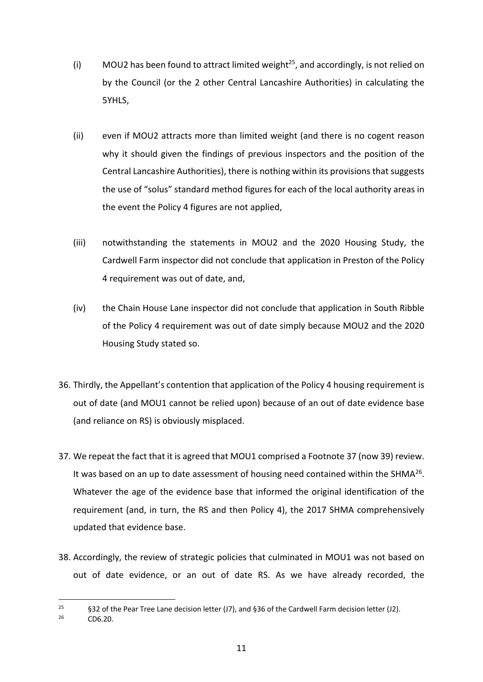- (i) MOU2 has been found to attract limited weight<sup>25</sup>, and accordingly, is not relied on by the Council (or the 2 other Central Lancashire Authorities) in calculating the 5YHLS,
- (ii) even if MOU2 attracts more than limited weight (and there is no cogent reason why it should given the findings of previous inspectors and the position of the Central Lancashire Authorities), there is nothing within its provisions that suggests the use of "solus" standard method figures for each of the local authority areas in the event the Policy 4 figures are not applied,
- (iii) notwithstanding the statements in MOU2 and the 2020 Housing Study, the Cardwell Farm inspector did not conclude that application in Preston of the Policy 4 requirement was out of date, and,
- (iv) the Chain House Lane inspector did not conclude that application in South Ribble of the Policy 4 requirement was out of date simply because MOU2 and the 2020 Housing Study stated so.
- 36. Thirdly, the Appellant's contention that application of the Policy 4 housing requirement is out of date (and MOU1 cannot be relied upon) because of an out of date evidence base (and reliance on RS) is obviously misplaced.
- 37. We repeat the fact that it is agreed that MOU1 comprised a Footnote 37 (now 39) review. It was based on an up to date assessment of housing need contained within the SHMA $^{26}$ . Whatever the age of the evidence base that informed the original identification of the requirement (and, in turn, the RS and then Policy 4), the 2017 SHMA comprehensively updated that evidence base.
- 38. Accordingly, the review of strategic policies that culminated in MOU1 was not based on out of date evidence, or an out of date RS. As we have already recorded, the

<sup>&</sup>lt;sup>25</sup> §32 of the Pear Tree Lane decision letter (J7), and §36 of the Cardwell Farm decision letter (J2).

<sup>26</sup> CD6.20.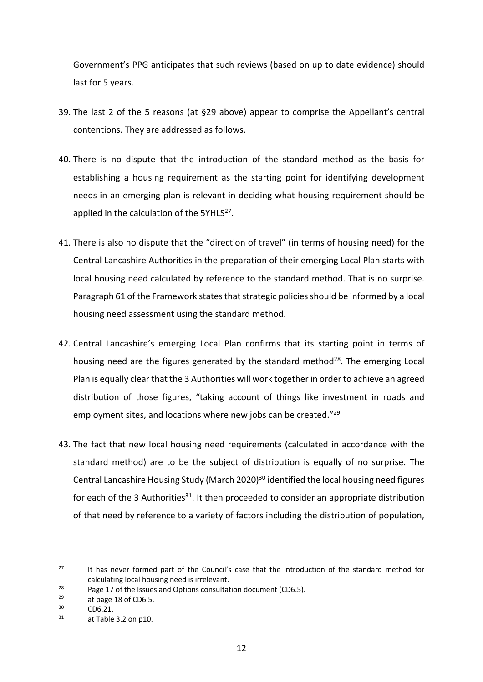Government's PPG anticipates that such reviews (based on up to date evidence) should last for 5 years.

- 39. The last 2 of the 5 reasons (at §29 above) appear to comprise the Appellant's central contentions. They are addressed as follows.
- 40. There is no dispute that the introduction of the standard method as the basis for establishing a housing requirement as the starting point for identifying development needs in an emerging plan is relevant in deciding what housing requirement should be applied in the calculation of the 5YHL $S^{27}$ .
- 41. There is also no dispute that the "direction of travel" (in terms of housing need) for the Central Lancashire Authorities in the preparation of their emerging Local Plan starts with local housing need calculated by reference to the standard method. That is no surprise. Paragraph 61 of the Framework states that strategic policies should be informed by a local housing need assessment using the standard method.
- 42. Central Lancashire's emerging Local Plan confirms that its starting point in terms of housing need are the figures generated by the standard method<sup>28</sup>. The emerging Local Plan is equally clear that the 3 Authorities will work together in order to achieve an agreed distribution of those figures, "taking account of things like investment in roads and employment sites, and locations where new jobs can be created."<sup>29</sup>
- 43. The fact that new local housing need requirements (calculated in accordance with the standard method) are to be the subject of distribution is equally of no surprise. The Central Lancashire Housing Study (March 2020)<sup>30</sup> identified the local housing need figures for each of the 3 Authorities<sup>31</sup>. It then proceeded to consider an appropriate distribution of that need by reference to a variety of factors including the distribution of population,

<sup>&</sup>lt;sup>27</sup> It has never formed part of the Council's case that the introduction of the standard method for calculating local housing need is irrelevant.

<sup>&</sup>lt;sup>28</sup> Page 17 of the Issues and Options consultation document (CD6.5).<br><sup>29</sup> at page 18 of CD6.5

 $^{29}$  at page 18 of CD6.5.<br> $^{30}$  CD6.21

 $\frac{30}{31}$  CD6.21.

at Table 3.2 on p10.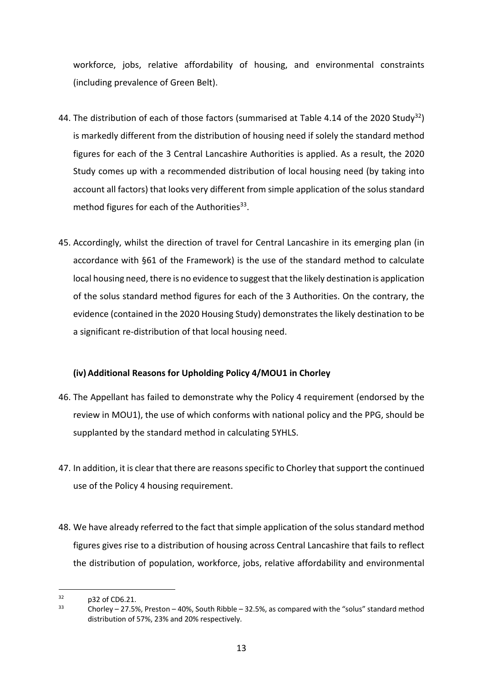workforce, jobs, relative affordability of housing, and environmental constraints (including prevalence of Green Belt).

- 44. The distribution of each of those factors (summarised at Table 4.14 of the 2020 Study<sup>32</sup>) is markedly different from the distribution of housing need if solely the standard method figures for each of the 3 Central Lancashire Authorities is applied. As a result, the 2020 Study comes up with a recommended distribution of local housing need (by taking into account all factors) that looks very different from simple application of the solus standard method figures for each of the Authorities $33$ .
- 45. Accordingly, whilst the direction of travel for Central Lancashire in its emerging plan (in accordance with §61 of the Framework) is the use of the standard method to calculate local housing need, there is no evidence to suggest that the likely destination is application of the solus standard method figures for each of the 3 Authorities. On the contrary, the evidence (contained in the 2020 Housing Study) demonstrates the likely destination to be a significant re-distribution of that local housing need.

# **(iv) Additional Reasons for Upholding Policy 4/MOU1 in Chorley**

- 46. The Appellant has failed to demonstrate why the Policy 4 requirement (endorsed by the review in MOU1), the use of which conforms with national policy and the PPG, should be supplanted by the standard method in calculating 5YHLS.
- 47. In addition, it is clear that there are reasons specific to Chorley that support the continued use of the Policy 4 housing requirement.
- 48. We have already referred to the fact that simple application of the solus standard method figures gives rise to a distribution of housing across Central Lancashire that fails to reflect the distribution of population, workforce, jobs, relative affordability and environmental

 $^{32}$  p32 of CD6.21.<br> $^{33}$  Charlow 27 Fe

<sup>33</sup> Chorley – 27.5%, Preston – 40%, South Ribble – 32.5%, as compared with the "solus" standard method distribution of 57%, 23% and 20% respectively.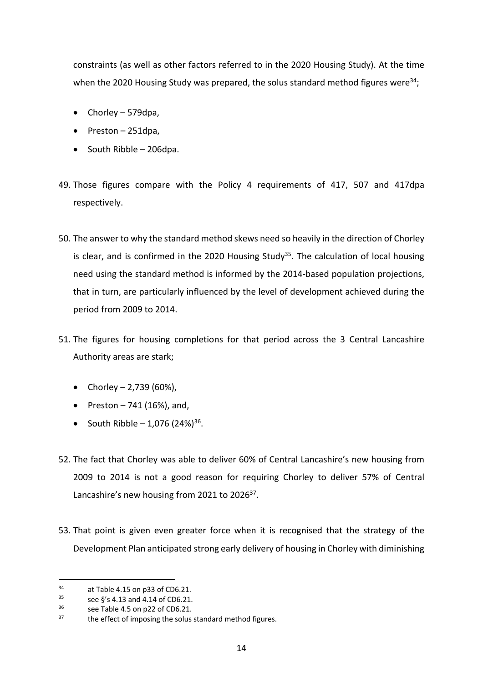constraints (as well as other factors referred to in the 2020 Housing Study). At the time when the 2020 Housing Study was prepared, the solus standard method figures were<sup>34</sup>;

- Chorley 579dpa,
- Preston 251dpa,
- South Ribble 206dpa.
- 49. Those figures compare with the Policy 4 requirements of 417, 507 and 417dpa respectively.
- 50. The answer to why the standard method skews need so heavily in the direction of Chorley is clear, and is confirmed in the 2020 Housing Study<sup>35</sup>. The calculation of local housing need using the standard method is informed by the 2014-based population projections, that in turn, are particularly influenced by the level of development achieved during the period from 2009 to 2014.
- 51. The figures for housing completions for that period across the 3 Central Lancashire Authority areas are stark;
	- Chorley 2,739 (60%),
	- Preston  $-741$  (16%), and,
	- South Ribble 1,076  $(24\%)^{36}$ .
- 52. The fact that Chorley was able to deliver 60% of Central Lancashire's new housing from 2009 to 2014 is not a good reason for requiring Chorley to deliver 57% of Central Lancashire's new housing from 2021 to 2026<sup>37</sup>.
- 53. That point is given even greater force when it is recognised that the strategy of the Development Plan anticipated strong early delivery of housing in Chorley with diminishing

<sup>34</sup> at Table 4.15 on p33 of CD6.21.<br> $\frac{35}{100}$  see 6's 4.13 and 4.14 of CD6.21.

 $35$  see §'s 4.13 and 4.14 of CD6.21.<br> $36$  see Table 4.5 on n22 of CD6.21.

 $36$  see Table 4.5 on p22 of CD6.21.

the effect of imposing the solus standard method figures.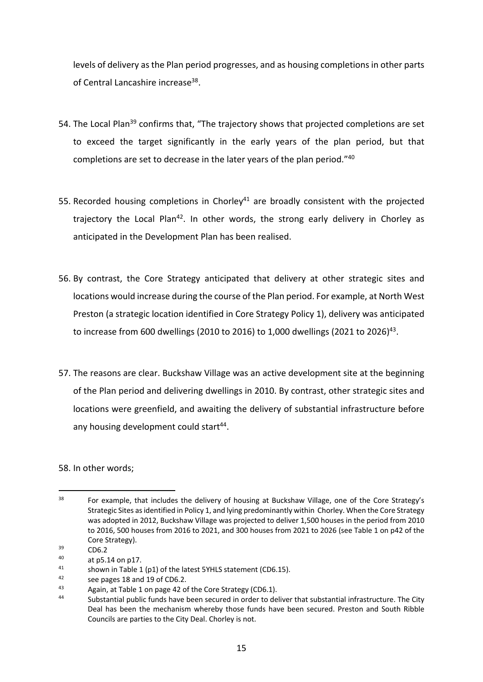levels of delivery as the Plan period progresses, and as housing completions in other parts of Central Lancashire increase<sup>38</sup>.

- 54. The Local Plan<sup>39</sup> confirms that, "The trajectory shows that projected completions are set to exceed the target significantly in the early years of the plan period, but that completions are set to decrease in the later years of the plan period."40
- 55. Recorded housing completions in Chorley<sup>41</sup> are broadly consistent with the projected trajectory the Local Plan<sup>42</sup>. In other words, the strong early delivery in Chorley as anticipated in the Development Plan has been realised.
- 56. By contrast, the Core Strategy anticipated that delivery at other strategic sites and locations would increase during the course of the Plan period. For example, at North West Preston (a strategic location identified in Core Strategy Policy 1), delivery was anticipated to increase from 600 dwellings (2010 to 2016) to 1,000 dwellings (2021 to 2026)<sup>43</sup>.
- 57. The reasons are clear. Buckshaw Village was an active development site at the beginning of the Plan period and delivering dwellings in 2010. By contrast, other strategic sites and locations were greenfield, and awaiting the delivery of substantial infrastructure before any housing development could start<sup>44</sup>.

# 58. In other words;

<sup>&</sup>lt;sup>38</sup> For example, that includes the delivery of housing at Buckshaw Village, one of the Core Strategy's Strategic Sites as identified in Policy 1, and lying predominantly within Chorley. When the Core Strategy was adopted in 2012, Buckshaw Village was projected to deliver 1,500 houses in the period from 2010 to 2016, 500 houses from 2016 to 2021, and 300 houses from 2021 to 2026 (see Table 1 on p42 of the Core Strategy).

 $39$  CD6.2

 $^{40}$  at p5.14 on p17.<br> $^{41}$  shown in Table 1

<sup>&</sup>lt;sup>41</sup> shown in Table 1 (p1) of the latest 5YHLS statement (CD6.15).<br><sup>42</sup> case pages 18 and 10 of CD6.2

 $^{42}$  see pages 18 and 19 of CD6.2.

<sup>43</sup> Again, at Table 1 on page 42 of the Core Strategy (CD6.1).

Substantial public funds have been secured in order to deliver that substantial infrastructure. The City Deal has been the mechanism whereby those funds have been secured. Preston and South Ribble Councils are parties to the City Deal. Chorley is not.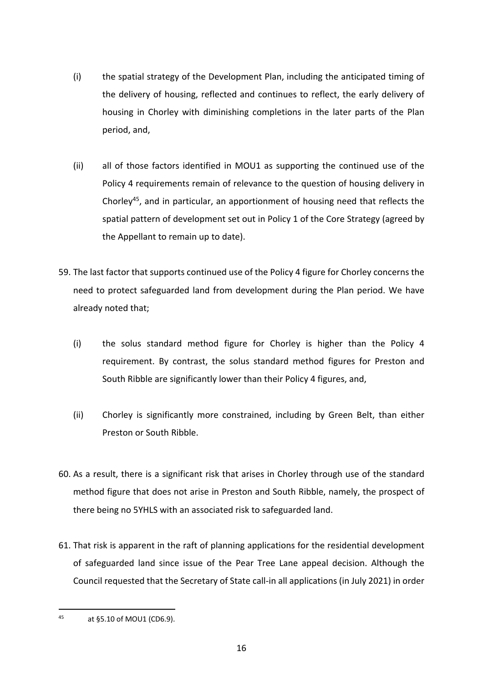- (i) the spatial strategy of the Development Plan, including the anticipated timing of the delivery of housing, reflected and continues to reflect, the early delivery of housing in Chorley with diminishing completions in the later parts of the Plan period, and,
- (ii) all of those factors identified in MOU1 as supporting the continued use of the Policy 4 requirements remain of relevance to the question of housing delivery in Chorley45, and in particular, an apportionment of housing need that reflects the spatial pattern of development set out in Policy 1 of the Core Strategy (agreed by the Appellant to remain up to date).
- 59. The last factor that supports continued use of the Policy 4 figure for Chorley concerns the need to protect safeguarded land from development during the Plan period. We have already noted that;
	- (i) the solus standard method figure for Chorley is higher than the Policy 4 requirement. By contrast, the solus standard method figures for Preston and South Ribble are significantly lower than their Policy 4 figures, and,
	- (ii) Chorley is significantly more constrained, including by Green Belt, than either Preston or South Ribble.
- 60. As a result, there is a significant risk that arises in Chorley through use of the standard method figure that does not arise in Preston and South Ribble, namely, the prospect of there being no 5YHLS with an associated risk to safeguarded land.
- 61. That risk is apparent in the raft of planning applications for the residential development of safeguarded land since issue of the Pear Tree Lane appeal decision. Although the Council requested that the Secretary of State call-in all applications (in July 2021) in order

<sup>45</sup> at §5.10 of MOU1 (CD6.9).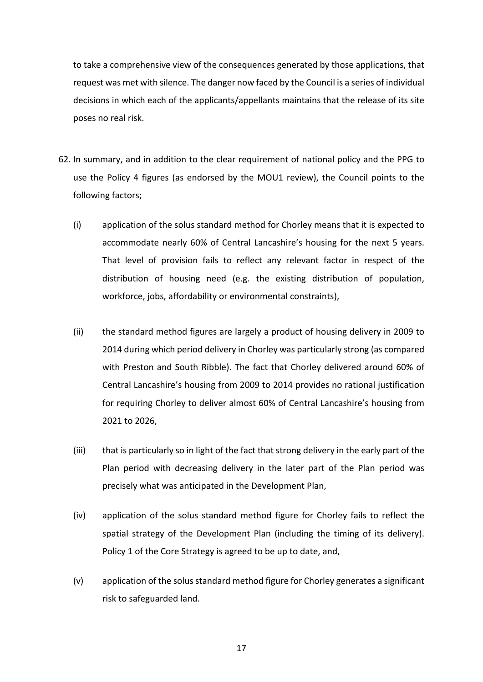to take a comprehensive view of the consequences generated by those applications, that request was met with silence. The danger now faced by the Council is a series of individual decisions in which each of the applicants/appellants maintains that the release of its site poses no real risk.

- 62. In summary, and in addition to the clear requirement of national policy and the PPG to use the Policy 4 figures (as endorsed by the MOU1 review), the Council points to the following factors;
	- (i) application of the solus standard method for Chorley means that it is expected to accommodate nearly 60% of Central Lancashire's housing for the next 5 years. That level of provision fails to reflect any relevant factor in respect of the distribution of housing need (e.g. the existing distribution of population, workforce, jobs, affordability or environmental constraints),
	- (ii) the standard method figures are largely a product of housing delivery in 2009 to 2014 during which period delivery in Chorley was particularly strong (as compared with Preston and South Ribble). The fact that Chorley delivered around 60% of Central Lancashire's housing from 2009 to 2014 provides no rational justification for requiring Chorley to deliver almost 60% of Central Lancashire's housing from 2021 to 2026,
	- (iii) that is particularly so in light of the fact that strong delivery in the early part of the Plan period with decreasing delivery in the later part of the Plan period was precisely what was anticipated in the Development Plan,
	- (iv) application of the solus standard method figure for Chorley fails to reflect the spatial strategy of the Development Plan (including the timing of its delivery). Policy 1 of the Core Strategy is agreed to be up to date, and,
	- (v) application of the solus standard method figure for Chorley generates a significant risk to safeguarded land.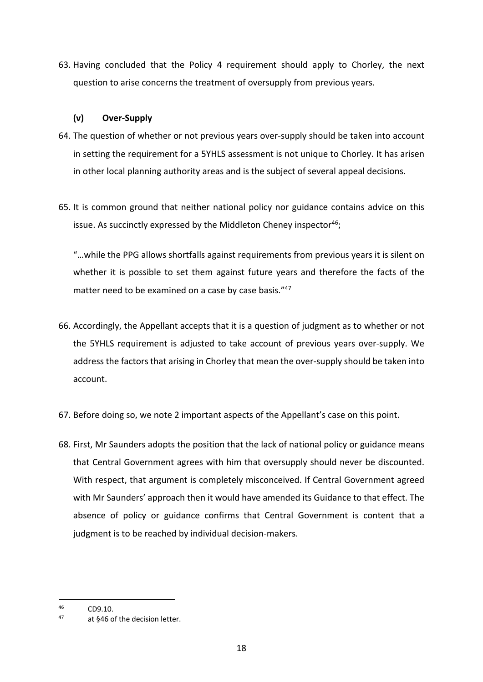63. Having concluded that the Policy 4 requirement should apply to Chorley, the next question to arise concerns the treatment of oversupply from previous years.

### **(v) Over-Supply**

- 64. The question of whether or not previous years over-supply should be taken into account in setting the requirement for a 5YHLS assessment is not unique to Chorley. It has arisen in other local planning authority areas and is the subject of several appeal decisions.
- 65. It is common ground that neither national policy nor guidance contains advice on this issue. As succinctly expressed by the Middleton Cheney inspector<sup>46</sup>;

"…while the PPG allows shortfalls against requirements from previous years it is silent on whether it is possible to set them against future years and therefore the facts of the matter need to be examined on a case by case basis."47

- 66. Accordingly, the Appellant accepts that it is a question of judgment as to whether or not the 5YHLS requirement is adjusted to take account of previous years over-supply. We address the factors that arising in Chorley that mean the over-supply should be taken into account.
- 67. Before doing so, we note 2 important aspects of the Appellant's case on this point.
- 68. First, Mr Saunders adopts the position that the lack of national policy or guidance means that Central Government agrees with him that oversupply should never be discounted. With respect, that argument is completely misconceived. If Central Government agreed with Mr Saunders' approach then it would have amended its Guidance to that effect. The absence of policy or guidance confirms that Central Government is content that a judgment is to be reached by individual decision-makers.

 $^{46}$  CD9.10.<br> $^{47}$  at 646.0

at §46 of the decision letter.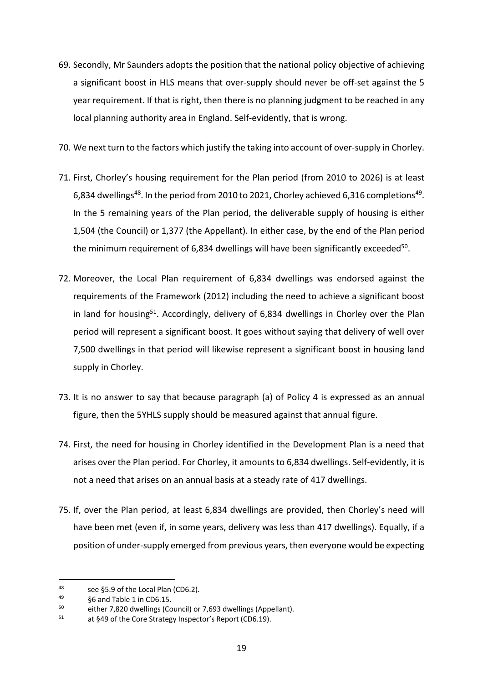- 69. Secondly, Mr Saunders adopts the position that the national policy objective of achieving a significant boost in HLS means that over-supply should never be off-set against the 5 year requirement. If that is right, then there is no planning judgment to be reached in any local planning authority area in England. Self-evidently, that is wrong.
- 70. We next turn to the factors which justify the taking into account of over-supply in Chorley.
- 71. First, Chorley's housing requirement for the Plan period (from 2010 to 2026) is at least 6,834 dwellings<sup>48</sup>. In the period from 2010 to 2021, Chorley achieved 6,316 completions<sup>49</sup>. In the 5 remaining years of the Plan period, the deliverable supply of housing is either 1,504 (the Council) or 1,377 (the Appellant). In either case, by the end of the Plan period the minimum requirement of 6,834 dwellings will have been significantly exceeded<sup>50</sup>.
- 72. Moreover, the Local Plan requirement of 6,834 dwellings was endorsed against the requirements of the Framework (2012) including the need to achieve a significant boost in land for housing<sup>51</sup>. Accordingly, delivery of  $6,834$  dwellings in Chorley over the Plan period will represent a significant boost. It goes without saying that delivery of well over 7,500 dwellings in that period will likewise represent a significant boost in housing land supply in Chorley.
- 73. It is no answer to say that because paragraph (a) of Policy 4 is expressed as an annual figure, then the 5YHLS supply should be measured against that annual figure.
- 74. First, the need for housing in Chorley identified in the Development Plan is a need that arises over the Plan period. For Chorley, it amounts to 6,834 dwellings. Self-evidently, it is not a need that arises on an annual basis at a steady rate of 417 dwellings.
- 75. If, over the Plan period, at least 6,834 dwellings are provided, then Chorley's need will have been met (even if, in some years, delivery was less than 417 dwellings). Equally, if a position of under-supply emerged from previous years, then everyone would be expecting

<sup>48</sup> see §5.9 of the Local Plan (CD6.2).<br> $49$  66 and Table 1 in CD6.15

 $\frac{49}{50}$  §6 and Table 1 in CD6.15.<br>
subset 2.820 dwellings (Co.

<sup>&</sup>lt;sup>50</sup> either 7,820 dwellings (Council) or 7,693 dwellings (Appellant).<br> $51$  at 849 of the Care Strategy Inspector's Benert (CD6.19)

at §49 of the Core Strategy Inspector's Report (CD6.19).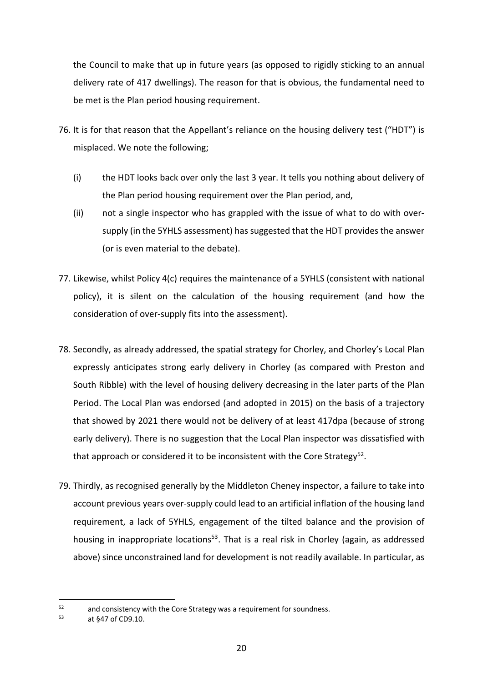the Council to make that up in future years (as opposed to rigidly sticking to an annual delivery rate of 417 dwellings). The reason for that is obvious, the fundamental need to be met is the Plan period housing requirement.

- 76. It is for that reason that the Appellant's reliance on the housing delivery test ("HDT") is misplaced. We note the following;
	- (i) the HDT looks back over only the last 3 year. It tells you nothing about delivery of the Plan period housing requirement over the Plan period, and,
	- (ii) not a single inspector who has grappled with the issue of what to do with oversupply (in the 5YHLS assessment) has suggested that the HDT provides the answer (or is even material to the debate).
- 77. Likewise, whilst Policy 4(c) requires the maintenance of a 5YHLS (consistent with national policy), it is silent on the calculation of the housing requirement (and how the consideration of over-supply fits into the assessment).
- 78. Secondly, as already addressed, the spatial strategy for Chorley, and Chorley's Local Plan expressly anticipates strong early delivery in Chorley (as compared with Preston and South Ribble) with the level of housing delivery decreasing in the later parts of the Plan Period. The Local Plan was endorsed (and adopted in 2015) on the basis of a trajectory that showed by 2021 there would not be delivery of at least 417dpa (because of strong early delivery). There is no suggestion that the Local Plan inspector was dissatisfied with that approach or considered it to be inconsistent with the Core Strategy<sup>52</sup>.
- 79. Thirdly, as recognised generally by the Middleton Cheney inspector, a failure to take into account previous years over-supply could lead to an artificial inflation of the housing land requirement, a lack of 5YHLS, engagement of the tilted balance and the provision of housing in inappropriate locations<sup>53</sup>. That is a real risk in Chorley (again, as addressed above) since unconstrained land for development is not readily available. In particular, as

<sup>&</sup>lt;sup>52</sup> and consistency with the Core Strategy was a requirement for soundness.<br> $53 \times 54.7 \times 56.0010$ 

at §47 of CD9.10.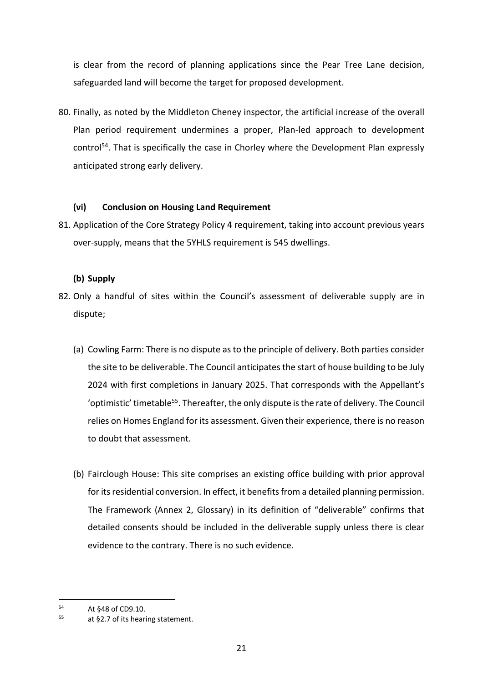is clear from the record of planning applications since the Pear Tree Lane decision, safeguarded land will become the target for proposed development.

80. Finally, as noted by the Middleton Cheney inspector, the artificial increase of the overall Plan period requirement undermines a proper, Plan-led approach to development control<sup>54</sup>. That is specifically the case in Chorley where the Development Plan expressly anticipated strong early delivery.

### **(vi) Conclusion on Housing Land Requirement**

81. Application of the Core Strategy Policy 4 requirement, taking into account previous years over-supply, means that the 5YHLS requirement is 545 dwellings.

### **(b) Supply**

- 82. Only a handful of sites within the Council's assessment of deliverable supply are in dispute;
	- (a) Cowling Farm: There is no dispute as to the principle of delivery. Both parties consider the site to be deliverable. The Council anticipates the start of house building to be July 2024 with first completions in January 2025. That corresponds with the Appellant's 'optimistic' timetable<sup>55</sup>. Thereafter, the only dispute is the rate of delivery. The Council relies on Homes England for its assessment. Given their experience, there is no reason to doubt that assessment.
	- (b) Fairclough House: This site comprises an existing office building with prior approval for its residential conversion. In effect, it benefits from a detailed planning permission. The Framework (Annex 2, Glossary) in its definition of "deliverable" confirms that detailed consents should be included in the deliverable supply unless there is clear evidence to the contrary. There is no such evidence.

<sup>54</sup> At  $$48$  of CD9.10.

at §2.7 of its hearing statement.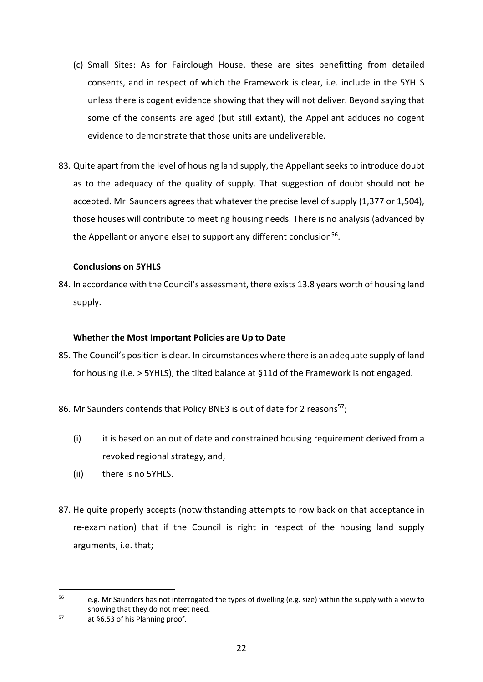- (c) Small Sites: As for Fairclough House, these are sites benefitting from detailed consents, and in respect of which the Framework is clear, i.e. include in the 5YHLS unless there is cogent evidence showing that they will not deliver. Beyond saying that some of the consents are aged (but still extant), the Appellant adduces no cogent evidence to demonstrate that those units are undeliverable.
- 83. Quite apart from the level of housing land supply, the Appellant seeks to introduce doubt as to the adequacy of the quality of supply. That suggestion of doubt should not be accepted. Mr Saunders agrees that whatever the precise level of supply (1,377 or 1,504), those houses will contribute to meeting housing needs. There is no analysis (advanced by the Appellant or anyone else) to support any different conclusion<sup>56</sup>.

#### **Conclusions on 5YHLS**

84. In accordance with the Council's assessment, there exists 13.8 years worth of housing land supply.

#### **Whether the Most Important Policies are Up to Date**

- 85. The Council's position is clear. In circumstances where there is an adequate supply of land for housing (i.e. > 5YHLS), the tilted balance at §11d of the Framework is not engaged.
- 86. Mr Saunders contends that Policy BNE3 is out of date for 2 reasons<sup>57</sup>;
	- (i) it is based on an out of date and constrained housing requirement derived from a revoked regional strategy, and,
	- (ii) there is no 5YHLS.
- 87. He quite properly accepts (notwithstanding attempts to row back on that acceptance in re-examination) that if the Council is right in respect of the housing land supply arguments, i.e. that;

<sup>56</sup> e.g. Mr Saunders has not interrogated the types of dwelling (e.g. size) within the supply with a view to showing that they do not meet need.

 $57$  at §6.53 of his Planning proof.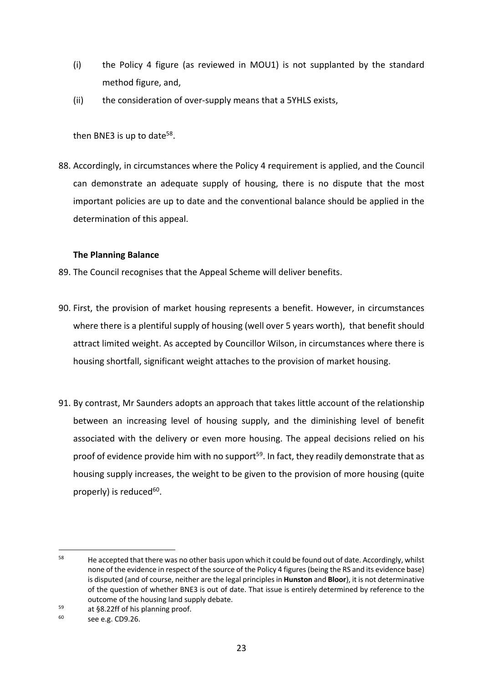- (i) the Policy 4 figure (as reviewed in MOU1) is not supplanted by the standard method figure, and,
- (ii) the consideration of over-supply means that a 5YHLS exists,

then BNE3 is up to date<sup>58</sup>.

88. Accordingly, in circumstances where the Policy 4 requirement is applied, and the Council can demonstrate an adequate supply of housing, there is no dispute that the most important policies are up to date and the conventional balance should be applied in the determination of this appeal.

### **The Planning Balance**

- 89. The Council recognises that the Appeal Scheme will deliver benefits.
- 90. First, the provision of market housing represents a benefit. However, in circumstances where there is a plentiful supply of housing (well over 5 years worth), that benefit should attract limited weight. As accepted by Councillor Wilson, in circumstances where there is housing shortfall, significant weight attaches to the provision of market housing.
- 91. By contrast, Mr Saunders adopts an approach that takes little account of the relationship between an increasing level of housing supply, and the diminishing level of benefit associated with the delivery or even more housing. The appeal decisions relied on his proof of evidence provide him with no support<sup>59</sup>. In fact, they readily demonstrate that as housing supply increases, the weight to be given to the provision of more housing (quite properly) is reduced $60$ .

<sup>&</sup>lt;sup>58</sup> He accepted that there was no other basis upon which it could be found out of date. Accordingly, whilst none of the evidence in respect of the source of the Policy 4 figures(being the RS and its evidence base) is disputed (and of course, neither are the legal principles in **Hunston** and **Bloor**), it is not determinative of the question of whether BNE3 is out of date. That issue is entirely determined by reference to the outcome of the housing land supply debate.

 $^{59}$  at §8.22ff of his planning proof.

see e.g. CD9.26.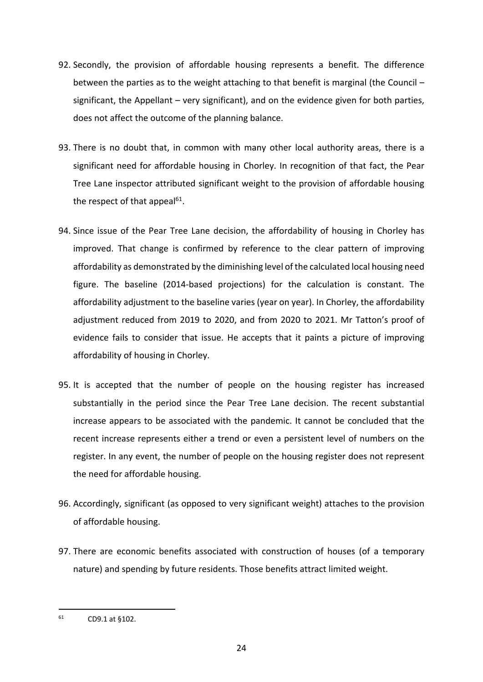- 92. Secondly, the provision of affordable housing represents a benefit. The difference between the parties as to the weight attaching to that benefit is marginal (the Council – significant, the Appellant – very significant), and on the evidence given for both parties, does not affect the outcome of the planning balance.
- 93. There is no doubt that, in common with many other local authority areas, there is a significant need for affordable housing in Chorley. In recognition of that fact, the Pear Tree Lane inspector attributed significant weight to the provision of affordable housing the respect of that appeal<sup>61</sup>.
- 94. Since issue of the Pear Tree Lane decision, the affordability of housing in Chorley has improved. That change is confirmed by reference to the clear pattern of improving affordability as demonstrated by the diminishing level of the calculated local housing need figure. The baseline (2014-based projections) for the calculation is constant. The affordability adjustment to the baseline varies (year on year). In Chorley, the affordability adjustment reduced from 2019 to 2020, and from 2020 to 2021. Mr Tatton's proof of evidence fails to consider that issue. He accepts that it paints a picture of improving affordability of housing in Chorley.
- 95. It is accepted that the number of people on the housing register has increased substantially in the period since the Pear Tree Lane decision. The recent substantial increase appears to be associated with the pandemic. It cannot be concluded that the recent increase represents either a trend or even a persistent level of numbers on the register. In any event, the number of people on the housing register does not represent the need for affordable housing.
- 96. Accordingly, significant (as opposed to very significant weight) attaches to the provision of affordable housing.
- 97. There are economic benefits associated with construction of houses (of a temporary nature) and spending by future residents. Those benefits attract limited weight.

 $61$  CD9.1 at §102.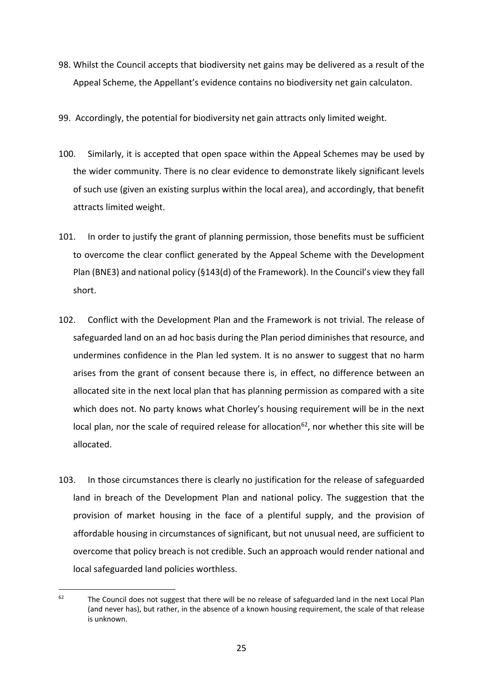- 98. Whilst the Council accepts that biodiversity net gains may be delivered as a result of the Appeal Scheme, the Appellant's evidence contains no biodiversity net gain calculaton.
- 99. Accordingly, the potential for biodiversity net gain attracts only limited weight.
- 100. Similarly, it is accepted that open space within the Appeal Schemes may be used by the wider community. There is no clear evidence to demonstrate likely significant levels of such use (given an existing surplus within the local area), and accordingly, that benefit attracts limited weight.
- 101. In order to justify the grant of planning permission, those benefits must be sufficient to overcome the clear conflict generated by the Appeal Scheme with the Development Plan (BNE3) and national policy (§143(d) of the Framework). In the Council's view they fall short.
- 102. Conflict with the Development Plan and the Framework is not trivial. The release of safeguarded land on an ad hoc basis during the Plan period diminishes that resource, and undermines confidence in the Plan led system. It is no answer to suggest that no harm arises from the grant of consent because there is, in effect, no difference between an allocated site in the next local plan that has planning permission as compared with a site which does not. No party knows what Chorley's housing requirement will be in the next local plan, nor the scale of required release for allocation<sup>62</sup>, nor whether this site will be allocated.
- 103. In those circumstances there is clearly no justification for the release of safeguarded land in breach of the Development Plan and national policy. The suggestion that the provision of market housing in the face of a plentiful supply, and the provision of affordable housing in circumstances of significant, but not unusual need, are sufficient to overcome that policy breach is not credible. Such an approach would render national and local safeguarded land policies worthless.

 $62$  The Council does not suggest that there will be no release of safeguarded land in the next Local Plan (and never has), but rather, in the absence of a known housing requirement, the scale of that release is unknown.